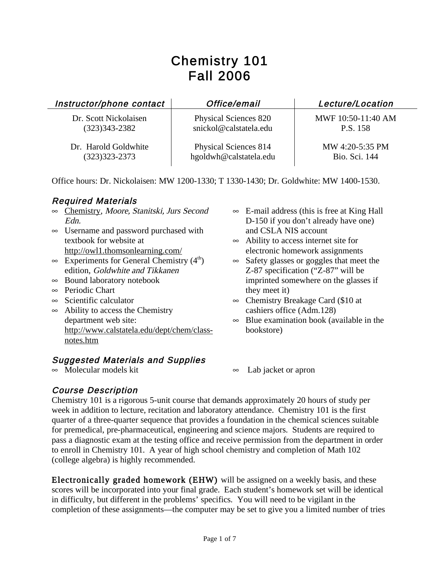# Chemistry 101 Fall 2006

| Instructor/phone contact | Office/email                 | Lecture/Location   |
|--------------------------|------------------------------|--------------------|
| Dr. Scott Nickolaisen    | <b>Physical Sciences 820</b> | MWF 10:50-11:40 AM |
| $(323)343 - 2382$        | snickol@calstatela.edu       | P.S. 158           |
| Dr. Harold Goldwhite     | Physical Sciences 814        | MW 4:20-5:35 PM    |
| $(323)323 - 2373$        | hgoldwh@calstatela.edu       | Bio. Sci. 144      |

Office hours: Dr. Nickolaisen: MW 1200-1330; T 1330-1430; Dr. Goldwhite: MW 1400-1530.

#### Required Materials

- ∞ Chemistry, Moore, Stanitski, Jurs Second Edn.
- ∞ Username and password purchased with textbook for website at http://owl1.thomsonlearning.com/
- $\infty$  Experiments for General Chemistry (4<sup>th</sup>) edition, Goldwhite and Tikkanen
- ∞ Bound laboratory notebook
- ∞ Periodic Chart
- ∞ Scientific calculator
- ∞ Ability to access the Chemistry department web site: http://www.calstatela.edu/dept/chem/classnotes.htm

# **Suggested Materials and Supplies**  $\infty$  Molecular models kit

- ∞ E-mail address (this is free at King Hall D-150 if you don't already have one) and CSLA NIS account
- ∞ Ability to access internet site for electronic homework assignments
- ∞ Safety glasses or goggles that meet the Z-87 specification ("Z-87" will be imprinted somewhere on the glasses if they meet it)
- ∞ Chemistry Breakage Card (\$10 at cashiers office (Adm.128)
- ∞ Blue examination book (available in the bookstore)
- ∞ Lab jacket or apron

#### Course Description

Chemistry 101 is a rigorous 5-unit course that demands approximately 20 hours of study per week in addition to lecture, recitation and laboratory attendance. Chemistry 101 is the first quarter of a three-quarter sequence that provides a foundation in the chemical sciences suitable for premedical, pre-pharmaceutical, engineering and science majors. Students are required to pass a diagnostic exam at the testing office and receive permission from the department in order to enroll in Chemistry 101. A year of high school chemistry and completion of Math 102 (college algebra) is highly recommended.

Electronically graded homework (EHW) will be assigned on a weekly basis, and these scores will be incorporated into your final grade. Each student's homework set will be identical in difficulty, but different in the problems' specifics. You will need to be vigilant in the completion of these assignments—the computer may be set to give you a limited number of tries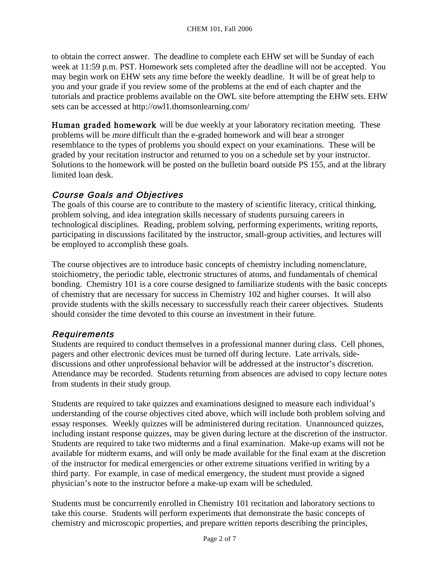to obtain the correct answer. The deadline to complete each EHW set will be Sunday of each week at 11:59 p.m. PST. Homework sets completed after the deadline will not be accepted. You may begin work on EHW sets any time before the weekly deadline. It will be of great help to you and your grade if you review some of the problems at the end of each chapter and the tutorials and practice problems available on the OWL site before attempting the EHW sets. EHW sets can be accessed at http://owl1.thomsonlearning.com/

Human graded homework will be due weekly at your laboratory recitation meeting. These problems will be more difficult than the e-graded homework and will bear a stronger resemblance to the types of problems you should expect on your examinations. These will be graded by your recitation instructor and returned to you on a schedule set by your instructor. Solutions to the homework will be posted on the bulletin board outside PS 155, and at the library limited loan desk.

# Course Goals and Objectives

The goals of this course are to contribute to the mastery of scientific literacy, critical thinking, problem solving, and idea integration skills necessary of students pursuing careers in technological disciplines. Reading, problem solving, performing experiments, writing reports, participating in discussions facilitated by the instructor, small-group activities, and lectures will be employed to accomplish these goals.

The course objectives are to introduce basic concepts of chemistry including nomenclature, stoichiometry, the periodic table, electronic structures of atoms, and fundamentals of chemical bonding. Chemistry 101 is a core course designed to familiarize students with the basic concepts of chemistry that are necessary for success in Chemistry 102 and higher courses. It will also provide students with the skills necessary to successfully reach their career objectives. Students should consider the time devoted to this course an investment in their future.

### Requirements

Students are required to conduct themselves in a professional manner during class. Cell phones, pagers and other electronic devices must be turned off during lecture. Late arrivals, sidediscussions and other unprofessional behavior will be addressed at the instructor's discretion. Attendance may be recorded. Students returning from absences are advised to copy lecture notes from students in their study group.

Students are required to take quizzes and examinations designed to measure each individual's understanding of the course objectives cited above, which will include both problem solving and essay responses. Weekly quizzes will be administered during recitation. Unannounced quizzes, including instant response quizzes, may be given during lecture at the discretion of the instructor. Students are required to take two midterms and a final examination. Make-up exams will not be available for midterm exams, and will only be made available for the final exam at the discretion of the instructor for medical emergencies or other extreme situations verified in writing by a third party. For example, in case of medical emergency, the student must provide a signed physician's note to the instructor before a make-up exam will be scheduled.

Students must be concurrently enrolled in Chemistry 101 recitation and laboratory sections to take this course. Students will perform experiments that demonstrate the basic concepts of chemistry and microscopic properties, and prepare written reports describing the principles,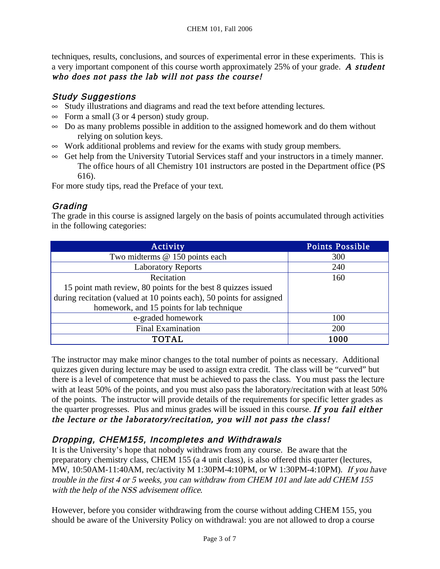techniques, results, conclusions, and sources of experimental error in these experiments. This is a very important component of this course worth approximately 25% of your grade. A student who does not pass the lab will not pass the course!

#### Study Suggestions

- ∞ Study illustrations and diagrams and read the text before attending lectures.
- $\infty$  Form a small (3 or 4 person) study group.
- ∞ Do as many problems possible in addition to the assigned homework and do them without relying on solution keys.
- ∞ Work additional problems and review for the exams with study group members.
- ∞ Get help from the University Tutorial Services staff and your instructors in a timely manner. The office hours of all Chemistry 101 instructors are posted in the Department office (PS 616).

For more study tips, read the Preface of your text.

#### **Grading**

The grade in this course is assigned largely on the basis of points accumulated through activities in the following categories:

| Activity                                                             | <b>Points Possible</b> |
|----------------------------------------------------------------------|------------------------|
| Two midterms @ 150 points each                                       | 300                    |
| <b>Laboratory Reports</b>                                            | 240                    |
| Recitation                                                           | 160                    |
| 15 point math review, 80 points for the best 8 quizzes issued        |                        |
| during recitation (valued at 10 points each), 50 points for assigned |                        |
| homework, and 15 points for lab technique                            |                        |
| e-graded homework                                                    | 100                    |
| <b>Final Examination</b>                                             | 200                    |
| <b>TOTAL</b>                                                         | 1000                   |

The instructor may make minor changes to the total number of points as necessary. Additional quizzes given during lecture may be used to assign extra credit. The class will be "curved" but there is a level of competence that must be achieved to pass the class. You must pass the lecture with at least 50% of the points, and you must also pass the laboratory/recitation with at least 50% of the points. The instructor will provide details of the requirements for specific letter grades as the quarter progresses. Plus and minus grades will be issued in this course. If you fail either the lecture or the laboratory/recitation, you will not pass the class!

# Dropping, CHEM155, Incompletes and Withdrawals

It is the University's hope that nobody withdraws from any course. Be aware that the preparatory chemistry class, CHEM 155 (a 4 unit class), is also offered this quarter (lectures, MW, 10:50AM-11:40AM, rec/activity M 1:30PM-4:10PM, or W 1:30PM-4:10PM). If you have trouble in the first 4 or 5 weeks, you can withdraw from CHEM 101 and late add CHEM 155 with the help of the NSS advisement office.

However, before you consider withdrawing from the course without adding CHEM 155, you should be aware of the University Policy on withdrawal: you are not allowed to drop a course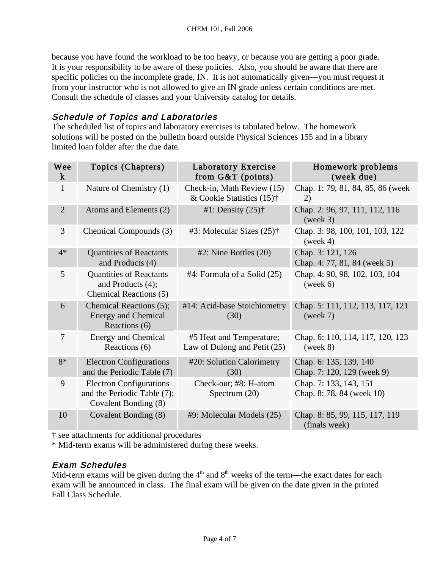because you have found the workload to be too heavy, or because you are getting a poor grade. It is your responsibility to be aware of these policies. Also, you should be aware that there are specific policies on the incomplete grade, IN. It is not automatically given—you must request it from your instructor who is not allowed to give an IN grade unless certain conditions are met. Consult the schedule of classes and your University catalog for details.

#### Schedule of Topics and Laboratories

The scheduled list of topics and laboratory exercises is tabulated below. The homework solutions will be posted on the bulletin board outside Physical Sciences 155 and in a library limited loan folder after the due date.

| Wee<br>$\bf k$ | Topics (Chapters)                                                                     | Laboratory Exercise<br>from $G&T$ (points)                 | Homework problems<br>(week due)                      |
|----------------|---------------------------------------------------------------------------------------|------------------------------------------------------------|------------------------------------------------------|
| $\mathbf{1}$   | Nature of Chemistry (1)                                                               | Check-in, Math Review (15)<br>& Cookie Statistics $(15)$ † | Chap. 1: 79, 81, 84, 85, 86 (week<br>2)              |
| $\overline{2}$ | Atoms and Elements (2)                                                                | #1: Density $(25)$ †                                       | Chap. 2: 96, 97, 111, 112, 116<br>(week 3)           |
| 3              | Chemical Compounds (3)                                                                | #3: Molecular Sizes $(25)$ †                               | Chap. 3: 98, 100, 101, 103, 122<br>(week 4)          |
| $4*$           | <b>Quantities of Reactants</b><br>and Products (4)                                    | $#2$ : Nine Bottles $(20)$                                 | Chap. 3: 121, 126<br>Chap. 4: 77, 81, 84 (week 5)    |
| $\mathfrak{S}$ | <b>Quantities of Reactants</b><br>and Products (4);<br>Chemical Reactions (5)         | $#4$ : Formula of a Solid $(25)$                           | Chap. 4: 90, 98, 102, 103, 104<br>(week 6)           |
| 6              | Chemical Reactions (5);<br><b>Energy and Chemical</b><br>Reactions (6)                | #14: Acid-base Stoichiometry<br>(30)                       | Chap. 5: 111, 112, 113, 117, 121<br>(week 7)         |
| 7              | <b>Energy and Chemical</b><br>Reactions (6)                                           | #5 Heat and Temperature;<br>Law of Dulong and Petit (25)   | Chap. 6: 110, 114, 117, 120, 123<br>(week 8)         |
| $8*$           | <b>Electron Configurations</b><br>and the Periodic Table (7)                          | #20: Solution Calorimetry<br>(30)                          | Chap. 6: 135, 139, 140<br>Chap. 7: 120, 129 (week 9) |
| 9              | <b>Electron Configurations</b><br>and the Periodic Table (7);<br>Covalent Bonding (8) | Check-out; #8: H-atom<br>Spectrum $(20)$                   | Chap. 7: 133, 143, 151<br>Chap. 8: 78, 84 (week 10)  |
| 10             | Covalent Bonding (8)                                                                  | #9: Molecular Models (25)                                  | Chap. 8: 85, 99, 115, 117, 119<br>(finals week)      |

† see attachments for additional procedures

\* Mid-term exams will be administered during these weeks.

#### Exam Schedules

Mid-term exams will be given during the  $4<sup>th</sup>$  and  $8<sup>th</sup>$  weeks of the term—the exact dates for each exam will be announced in class. The final exam will be given on the date given in the printed Fall Class Schedule.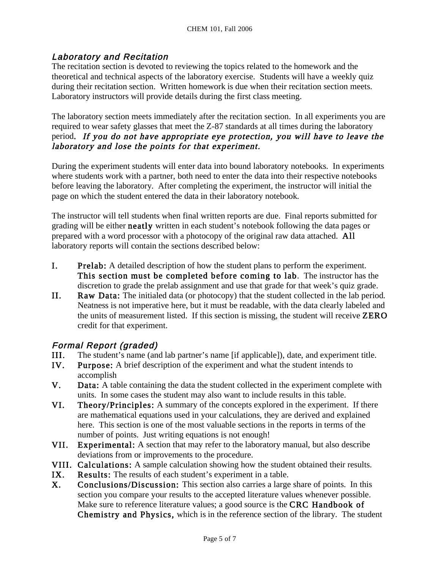#### Laboratory and Recitation

The recitation section is devoted to reviewing the topics related to the homework and the theoretical and technical aspects of the laboratory exercise. Students will have a weekly quiz during their recitation section. Written homework is due when their recitation section meets. Laboratory instructors will provide details during the first class meeting.

The laboratory section meets immediately after the recitation section. In all experiments you are required to wear safety glasses that meet the Z-87 standards at all times during the laboratory period. If you do not have appropriate eye protection, you will have to leave the laboratory and lose the points for that experiment.

During the experiment students will enter data into bound laboratory notebooks. In experiments where students work with a partner, both need to enter the data into their respective notebooks before leaving the laboratory. After completing the experiment, the instructor will initial the page on which the student entered the data in their laboratory notebook.

The instructor will tell students when final written reports are due. Final reports submitted for grading will be either neatly written in each student's notebook following the data pages or prepared with a word processor with a photocopy of the original raw data attached. All laboratory reports will contain the sections described below:

- I. Prelab: A detailed description of how the student plans to perform the experiment. This section must be completed before coming to lab. The instructor has the discretion to grade the prelab assignment and use that grade for that week's quiz grade.
- II. Raw Data: The initialed data (or photocopy) that the student collected in the lab period. Neatness is not imperative here, but it must be readable, with the data clearly labeled and the units of measurement listed. If this section is missing, the student will receive ZERO credit for that experiment.

#### Formal Report (graded)

- III. The student's name (and lab partner's name [if applicable]), date, and experiment title.<br>IV. Purpose: A brief description of the experiment and what the student intends to
- **Purpose:** A brief description of the experiment and what the student intends to accomplish
- V. Data: A table containing the data the student collected in the experiment complete with units. In some cases the student may also want to include results in this table.
- VI. Theory/Principles: A summary of the concepts explored in the experiment. If there are mathematical equations used in your calculations, they are derived and explained here. This section is one of the most valuable sections in the reports in terms of the number of points. Just writing equations is not enough!
- VII. Experimental: A section that may refer to the laboratory manual, but also describe deviations from or improvements to the procedure.
- VIII. Calculations: A sample calculation showing how the student obtained their results.
- IX. Results: The results of each student's experiment in a table.
- X. Conclusions/Discussion: This section also carries a large share of points. In this section you compare your results to the accepted literature values whenever possible. Make sure to reference literature values; a good source is the CRC Handbook of Chemistry and Physics, which is in the reference section of the library. The student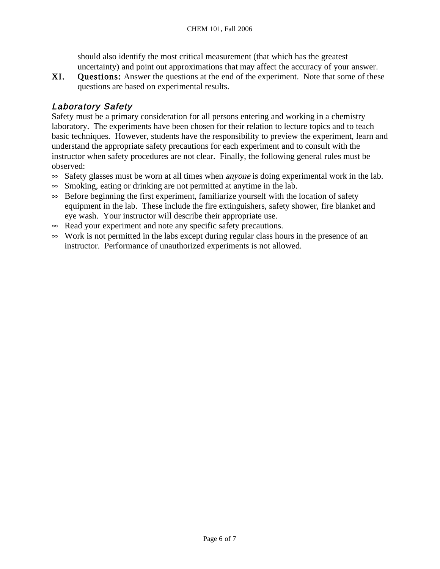should also identify the most critical measurement (that which has the greatest uncertainty) and point out approximations that may affect the accuracy of your answer.

XI. Questions: Answer the questions at the end of the experiment. Note that some of these questions are based on experimental results.

## Laboratory Safety

Safety must be a primary consideration for all persons entering and working in a chemistry laboratory. The experiments have been chosen for their relation to lecture topics and to teach basic techniques. However, students have the responsibility to preview the experiment, learn and understand the appropriate safety precautions for each experiment and to consult with the instructor when safety procedures are not clear. Finally, the following general rules must be observed:

- $\infty$  Safety glasses must be worn at all times when *anyone* is doing experimental work in the lab.
- ∞ Smoking, eating or drinking are not permitted at anytime in the lab.
- ∞ Before beginning the first experiment, familiarize yourself with the location of safety equipment in the lab. These include the fire extinguishers, safety shower, fire blanket and eye wash. Your instructor will describe their appropriate use.
- ∞ Read your experiment and note any specific safety precautions.
- ∞ Work is not permitted in the labs except during regular class hours in the presence of an instructor. Performance of unauthorized experiments is not allowed.